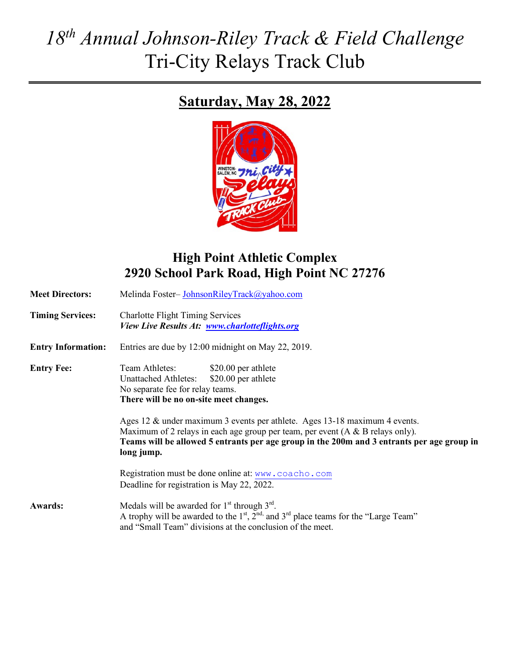# *18th Annual Johnson-Riley Track & Field Challenge* Tri-City Relays Track Club

# **Saturday, May 28, 2022**



# **High Point Athletic Complex 2920 School Park Road, High Point NC 27276**

| <b>Meet Directors:</b>    | Melinda Foster-JohnsonRileyTrack@yahoo.com                                                                                                                                                                                                                                                                                                                                                                                                              |
|---------------------------|---------------------------------------------------------------------------------------------------------------------------------------------------------------------------------------------------------------------------------------------------------------------------------------------------------------------------------------------------------------------------------------------------------------------------------------------------------|
| <b>Timing Services:</b>   | <b>Charlotte Flight Timing Services</b><br>View Live Results At: www.charlotteflights.org                                                                                                                                                                                                                                                                                                                                                               |
| <b>Entry Information:</b> | Entries are due by 12:00 midnight on May 22, 2019.                                                                                                                                                                                                                                                                                                                                                                                                      |
| <b>Entry Fee:</b>         | Team Athletes:<br>\$20.00 per athlete<br>\$20.00 per athlete<br><b>Unattached Athletes:</b><br>No separate fee for relay teams.<br>There will be no on-site meet changes.<br>Ages 12 & under maximum 3 events per athlete. Ages 13-18 maximum 4 events.<br>Maximum of 2 relays in each age group per team, per event $(A & B$ relays only).<br>Teams will be allowed 5 entrants per age group in the 200m and 3 entrants per age group in<br>long jump. |
|                           | Registration must be done online at: www.coacho.com<br>Deadline for registration is May 22, 2022.                                                                                                                                                                                                                                                                                                                                                       |
| <b>Awards:</b>            | Medals will be awarded for $1st$ through $3rd$ .<br>A trophy will be awarded to the $1st$ , $2nd$ , and $3rd$ place teams for the "Large Team"<br>and "Small Team" divisions at the conclusion of the meet.                                                                                                                                                                                                                                             |